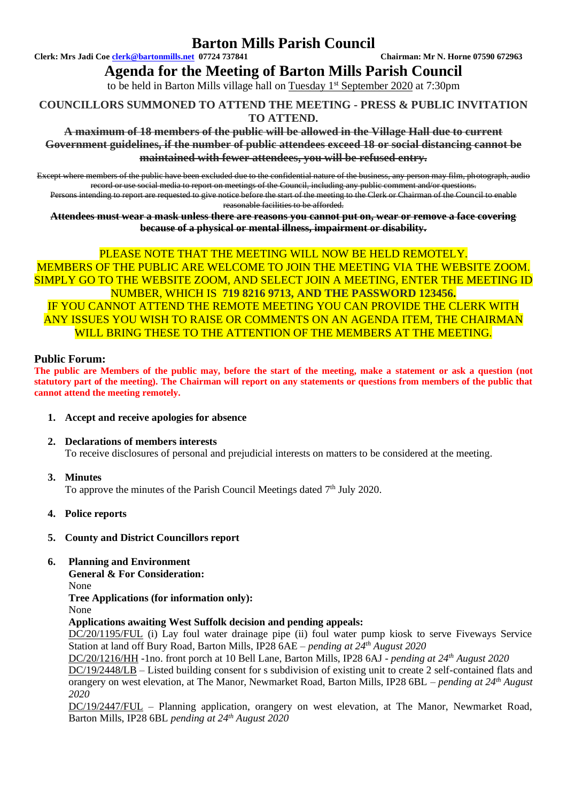## **Barton Mills Parish Council**

**Clerk: Mrs Jadi Coe [clerk@bartonmills.net](mailto:clerk@bartonmills.net) 07724 737841 Chairman: Mr N. Horne 07590 672963**

**Agenda for the Meeting of Barton Mills Parish Council**

to be held in Barton Mills village hall on Tuesday 1<sup>st</sup> September 2020 at 7:30pm

### **COUNCILLORS SUMMONED TO ATTEND THE MEETING - PRESS & PUBLIC INVITATION TO ATTEND.**

**A maximum of 18 members of the public will be allowed in the Village Hall due to current Government guidelines, if the number of public attendees exceed 18 or social distancing cannot be maintained with fewer attendees, you will be refused entry.**

Except where members of the public have been excluded due to the confidential nature of the business, any person may film, photograph, audio record or use social media to report on meetings of the Council, including any public comment and/or questions.

Persons intending to report are requested to give notice before the start of the meeting to the Clerk or Chairman of the Council to enable reasonable facilities to be afforded.

**Attendees must wear a mask unless there are reasons you cannot put on, wear or remove a face covering because of a physical or mental illness, impairment or disability.**

### PLEASE NOTE THAT THE MEETING WILL NOW BE HELD REMOTELY.

MEMBERS OF THE PUBLIC ARE WELCOME TO JOIN THE MEETING VIA THE WEBSITE ZOOM. SIMPLY GO TO THE WEBSITE ZOOM, AND SELECT JOIN A MEETING, ENTER THE MEETING ID NUMBER, WHICH IS **719 8216 9713, AND THE PASSWORD 123456.** IF YOU CANNOT ATTEND THE REMOTE MEETING YOU CAN PROVIDE THE CLERK WITH ANY ISSUES YOU WISH TO RAISE OR COMMENTS ON AN AGENDA ITEM, THE CHAIRMAN WILL BRING THESE TO THE ATTENTION OF THE MEMBERS AT THE MEETING.

### **Public Forum:**

**The public are Members of the public may, before the start of the meeting, make a statement or ask a question (not statutory part of the meeting). The Chairman will report on any statements or questions from members of the public that cannot attend the meeting remotely.**

- **1. Accept and receive apologies for absence**
- **2. Declarations of members interests** To receive disclosures of personal and prejudicial interests on matters to be considered at the meeting.
- **3. Minutes**

To approve the minutes of the Parish Council Meetings dated 7<sup>th</sup> July 2020.

**4. Police reports**

### **5. County and District Councillors report**

### **6. Planning and Environment**

**General & For Consideration:**

None

**Tree Applications (for information only):**

None

## **Applications awaiting West Suffolk decision and pending appeals:**

DC/20/1195/FUL (i) Lay foul water drainage pipe (ii) foul water pump kiosk to serve Fiveways Service Station at land off Bury Road, Barton Mills, IP28 6AE – *pending at 24th August 2020*

DC/20/1216/HH -1no. front porch at 10 Bell Lane, Barton Mills, IP28 6AJ - *pending at 24th August 2020* DC/19/2448/LB – Listed building consent for s subdivision of existing unit to create 2 self-contained flats and

orangery on west elevation, at The Manor, Newmarket Road, Barton Mills, IP28 6BL – *pending at 24th August 2020*

DC/19/2447/FUL – Planning application, orangery on west elevation, at The Manor, Newmarket Road, Barton Mills, IP28 6BL *pending at 24th August 2020*